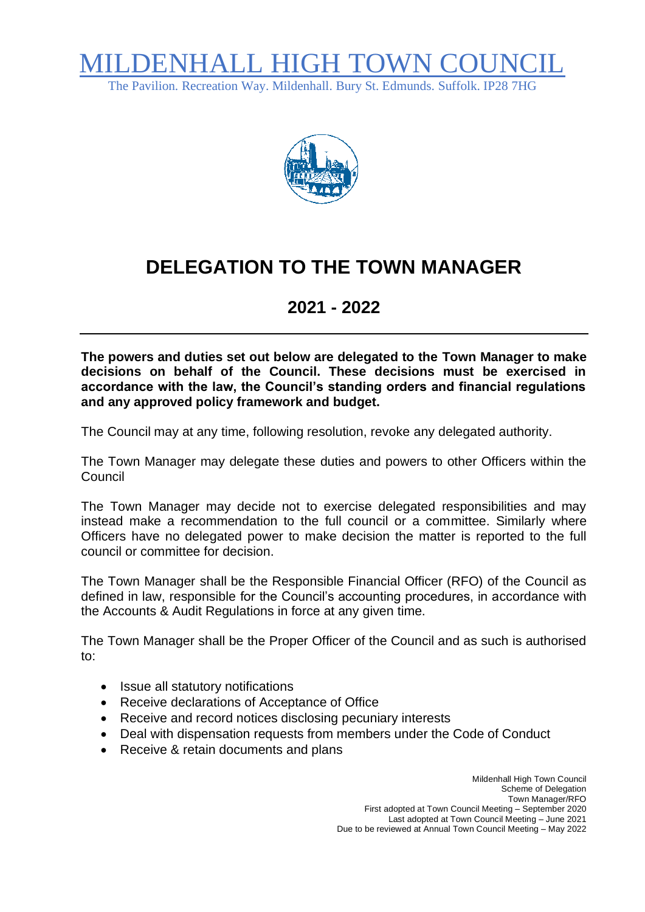

The Pavilion. Recreation Way. Mildenhall. Bury St. Edmunds. Suffolk. IP28 7HG



## **DELEGATION TO THE TOWN MANAGER**

## **2021 - 2022**

**The powers and duties set out below are delegated to the Town Manager to make decisions on behalf of the Council. These decisions must be exercised in accordance with the law, the Council's standing orders and financial regulations and any approved policy framework and budget.**

The Council may at any time, following resolution, revoke any delegated authority.

The Town Manager may delegate these duties and powers to other Officers within the Council

The Town Manager may decide not to exercise delegated responsibilities and may instead make a recommendation to the full council or a committee. Similarly where Officers have no delegated power to make decision the matter is reported to the full council or committee for decision.

The Town Manager shall be the Responsible Financial Officer (RFO) of the Council as defined in law, responsible for the Council's accounting procedures, in accordance with the Accounts & Audit Regulations in force at any given time.

The Town Manager shall be the Proper Officer of the Council and as such is authorised to:

- Issue all statutory notifications
- Receive declarations of Acceptance of Office
- Receive and record notices disclosing pecuniary interests
- Deal with dispensation requests from members under the Code of Conduct
- Receive & retain documents and plans

 Mildenhall High Town Council Scheme of Delegation Town Manager/RFO First adopted at Town Council Meeting – September 2020 Last adopted at Town Council Meeting – June 2021 Due to be reviewed at Annual Town Council Meeting – May 2022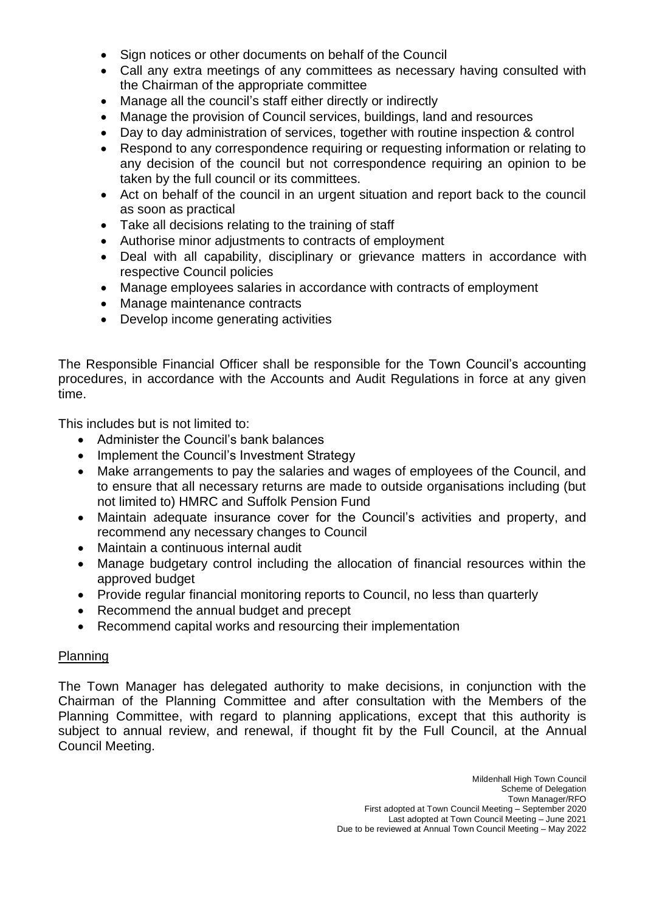- Sign notices or other documents on behalf of the Council
- Call any extra meetings of any committees as necessary having consulted with the Chairman of the appropriate committee
- Manage all the council's staff either directly or indirectly
- Manage the provision of Council services, buildings, land and resources
- Day to day administration of services, together with routine inspection & control
- Respond to any correspondence requiring or requesting information or relating to any decision of the council but not correspondence requiring an opinion to be taken by the full council or its committees.
- Act on behalf of the council in an urgent situation and report back to the council as soon as practical
- Take all decisions relating to the training of staff
- Authorise minor adjustments to contracts of employment
- Deal with all capability, disciplinary or grievance matters in accordance with respective Council policies
- Manage employees salaries in accordance with contracts of employment
- Manage maintenance contracts
- Develop income generating activities

The Responsible Financial Officer shall be responsible for the Town Council's accounting procedures, in accordance with the Accounts and Audit Regulations in force at any given time.

This includes but is not limited to:

- Administer the Council's bank balances
- Implement the Council's Investment Strategy
- Make arrangements to pay the salaries and wages of employees of the Council, and to ensure that all necessary returns are made to outside organisations including (but not limited to) HMRC and Suffolk Pension Fund
- Maintain adequate insurance cover for the Council's activities and property, and recommend any necessary changes to Council
- Maintain a continuous internal audit
- Manage budgetary control including the allocation of financial resources within the approved budget
- Provide regular financial monitoring reports to Council, no less than quarterly
- Recommend the annual budget and precept
- Recommend capital works and resourcing their implementation

## **Planning**

The Town Manager has delegated authority to make decisions, in conjunction with the Chairman of the Planning Committee and after consultation with the Members of the Planning Committee, with regard to planning applications, except that this authority is subject to annual review, and renewal, if thought fit by the Full Council, at the Annual Council Meeting.